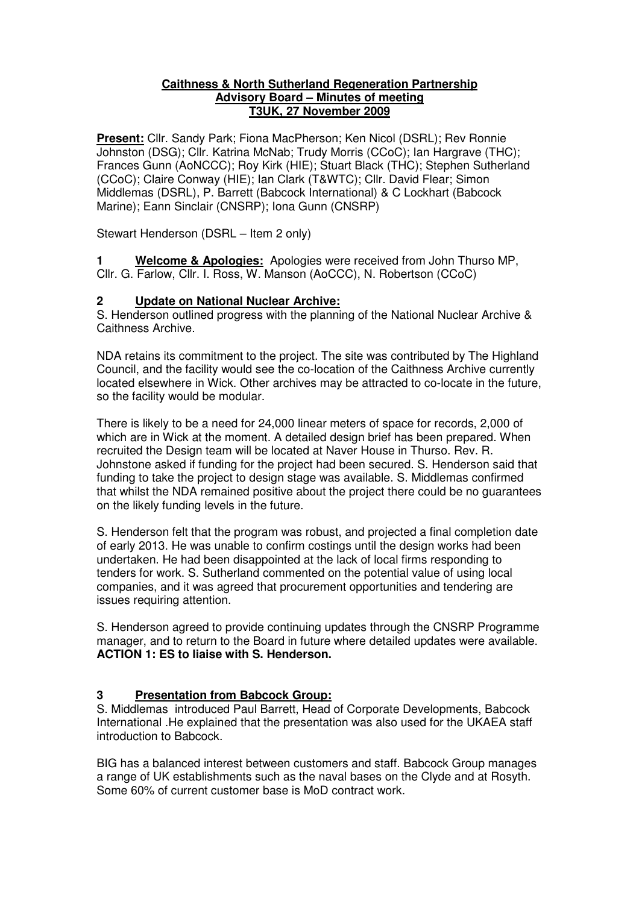#### **Caithness & North Sutherland Regeneration Partnership Advisory Board – Minutes of meeting T3UK, 27 November 2009**

**Present:** Cllr. Sandy Park; Fiona MacPherson; Ken Nicol (DSRL); Rev Ronnie Johnston (DSG); Cllr. Katrina McNab; Trudy Morris (CCoC); Ian Hargrave (THC); Frances Gunn (AoNCCC); Roy Kirk (HIE); Stuart Black (THC); Stephen Sutherland (CCoC); Claire Conway (HIE); Ian Clark (T&WTC); Cllr. David Flear; Simon Middlemas (DSRL), P. Barrett (Babcock International) & C Lockhart (Babcock Marine); Eann Sinclair (CNSRP); Iona Gunn (CNSRP)

Stewart Henderson (DSRL – Item 2 only)

**1 Welcome & Apologies:** Apologies were received from John Thurso MP, Cllr. G. Farlow, Cllr. I. Ross, W. Manson (AoCCC), N. Robertson (CCoC)

#### **2 Update on National Nuclear Archive:**

S. Henderson outlined progress with the planning of the National Nuclear Archive & Caithness Archive.

NDA retains its commitment to the project. The site was contributed by The Highland Council, and the facility would see the co-location of the Caithness Archive currently located elsewhere in Wick. Other archives may be attracted to co-locate in the future, so the facility would be modular.

There is likely to be a need for 24,000 linear meters of space for records, 2,000 of which are in Wick at the moment. A detailed design brief has been prepared. When recruited the Design team will be located at Naver House in Thurso. Rev. R. Johnstone asked if funding for the project had been secured. S. Henderson said that funding to take the project to design stage was available. S. Middlemas confirmed that whilst the NDA remained positive about the project there could be no guarantees on the likely funding levels in the future.

S. Henderson felt that the program was robust, and projected a final completion date of early 2013. He was unable to confirm costings until the design works had been undertaken. He had been disappointed at the lack of local firms responding to tenders for work. S. Sutherland commented on the potential value of using local companies, and it was agreed that procurement opportunities and tendering are issues requiring attention.

S. Henderson agreed to provide continuing updates through the CNSRP Programme manager, and to return to the Board in future where detailed updates were available. **ACTION 1: ES to liaise with S. Henderson.**

## **3 Presentation from Babcock Group:**

S. Middlemas introduced Paul Barrett, Head of Corporate Developments, Babcock International .He explained that the presentation was also used for the UKAEA staff introduction to Babcock.

BIG has a balanced interest between customers and staff. Babcock Group manages a range of UK establishments such as the naval bases on the Clyde and at Rosyth. Some 60% of current customer base is MoD contract work.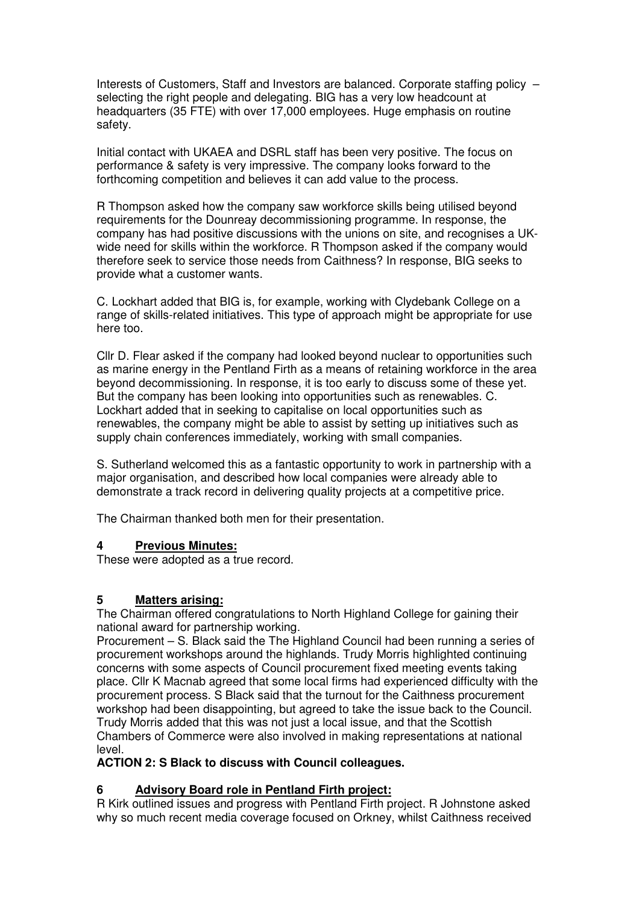Interests of Customers, Staff and Investors are balanced. Corporate staffing policy – selecting the right people and delegating. BIG has a very low headcount at headquarters (35 FTE) with over 17,000 employees. Huge emphasis on routine safety.

Initial contact with UKAEA and DSRL staff has been very positive. The focus on performance & safety is very impressive. The company looks forward to the forthcoming competition and believes it can add value to the process.

R Thompson asked how the company saw workforce skills being utilised beyond requirements for the Dounreay decommissioning programme. In response, the company has had positive discussions with the unions on site, and recognises a UKwide need for skills within the workforce. R Thompson asked if the company would therefore seek to service those needs from Caithness? In response, BIG seeks to provide what a customer wants.

C. Lockhart added that BIG is, for example, working with Clydebank College on a range of skills-related initiatives. This type of approach might be appropriate for use here too.

Cllr D. Flear asked if the company had looked beyond nuclear to opportunities such as marine energy in the Pentland Firth as a means of retaining workforce in the area beyond decommissioning. In response, it is too early to discuss some of these yet. But the company has been looking into opportunities such as renewables. C. Lockhart added that in seeking to capitalise on local opportunities such as renewables, the company might be able to assist by setting up initiatives such as supply chain conferences immediately, working with small companies.

S. Sutherland welcomed this as a fantastic opportunity to work in partnership with a major organisation, and described how local companies were already able to demonstrate a track record in delivering quality projects at a competitive price.

The Chairman thanked both men for their presentation.

#### **4 Previous Minutes:**

These were adopted as a true record.

#### **5 Matters arising:**

The Chairman offered congratulations to North Highland College for gaining their national award for partnership working.

Procurement – S. Black said the The Highland Council had been running a series of procurement workshops around the highlands. Trudy Morris highlighted continuing concerns with some aspects of Council procurement fixed meeting events taking place. Cllr K Macnab agreed that some local firms had experienced difficulty with the procurement process. S Black said that the turnout for the Caithness procurement workshop had been disappointing, but agreed to take the issue back to the Council. Trudy Morris added that this was not just a local issue, and that the Scottish Chambers of Commerce were also involved in making representations at national level.

#### **ACTION 2: S Black to discuss with Council colleagues.**

#### **6 Advisory Board role in Pentland Firth project:**

R Kirk outlined issues and progress with Pentland Firth project. R Johnstone asked why so much recent media coverage focused on Orkney, whilst Caithness received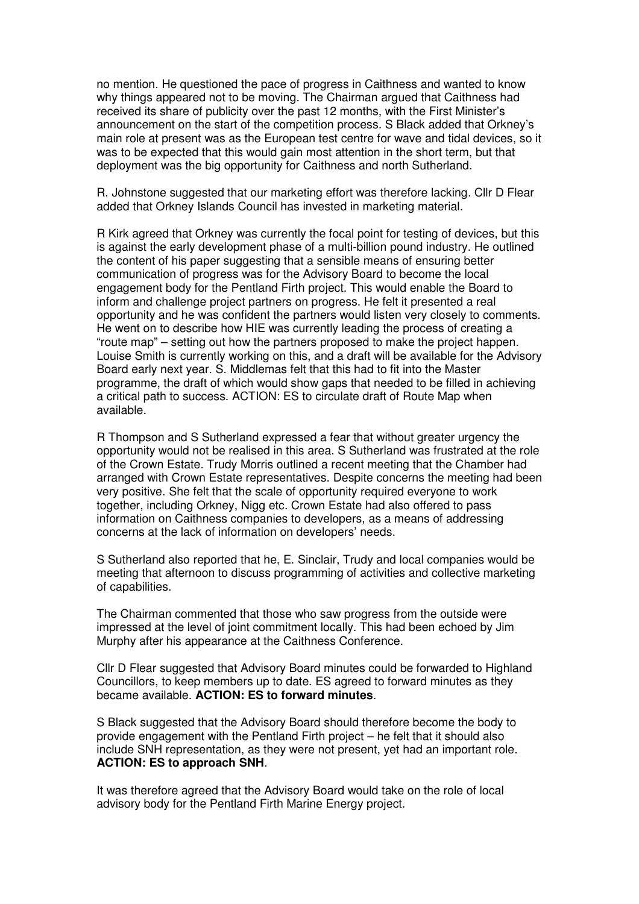no mention. He questioned the pace of progress in Caithness and wanted to know why things appeared not to be moving. The Chairman argued that Caithness had received its share of publicity over the past 12 months, with the First Minister's announcement on the start of the competition process. S Black added that Orkney's main role at present was as the European test centre for wave and tidal devices, so it was to be expected that this would gain most attention in the short term, but that deployment was the big opportunity for Caithness and north Sutherland.

R. Johnstone suggested that our marketing effort was therefore lacking. Cllr D Flear added that Orkney Islands Council has invested in marketing material.

R Kirk agreed that Orkney was currently the focal point for testing of devices, but this is against the early development phase of a multi-billion pound industry. He outlined the content of his paper suggesting that a sensible means of ensuring better communication of progress was for the Advisory Board to become the local engagement body for the Pentland Firth project. This would enable the Board to inform and challenge project partners on progress. He felt it presented a real opportunity and he was confident the partners would listen very closely to comments. He went on to describe how HIE was currently leading the process of creating a "route map" – setting out how the partners proposed to make the project happen. Louise Smith is currently working on this, and a draft will be available for the Advisory Board early next year. S. Middlemas felt that this had to fit into the Master programme, the draft of which would show gaps that needed to be filled in achieving a critical path to success. ACTION: ES to circulate draft of Route Map when available.

R Thompson and S Sutherland expressed a fear that without greater urgency the opportunity would not be realised in this area. S Sutherland was frustrated at the role of the Crown Estate. Trudy Morris outlined a recent meeting that the Chamber had arranged with Crown Estate representatives. Despite concerns the meeting had been very positive. She felt that the scale of opportunity required everyone to work together, including Orkney, Nigg etc. Crown Estate had also offered to pass information on Caithness companies to developers, as a means of addressing concerns at the lack of information on developers' needs.

S Sutherland also reported that he, E. Sinclair, Trudy and local companies would be meeting that afternoon to discuss programming of activities and collective marketing of capabilities.

The Chairman commented that those who saw progress from the outside were impressed at the level of joint commitment locally. This had been echoed by Jim Murphy after his appearance at the Caithness Conference.

Cllr D Flear suggested that Advisory Board minutes could be forwarded to Highland Councillors, to keep members up to date. ES agreed to forward minutes as they became available. **ACTION: ES to forward minutes**.

S Black suggested that the Advisory Board should therefore become the body to provide engagement with the Pentland Firth project – he felt that it should also include SNH representation, as they were not present, yet had an important role. **ACTION: ES to approach SNH**.

It was therefore agreed that the Advisory Board would take on the role of local advisory body for the Pentland Firth Marine Energy project.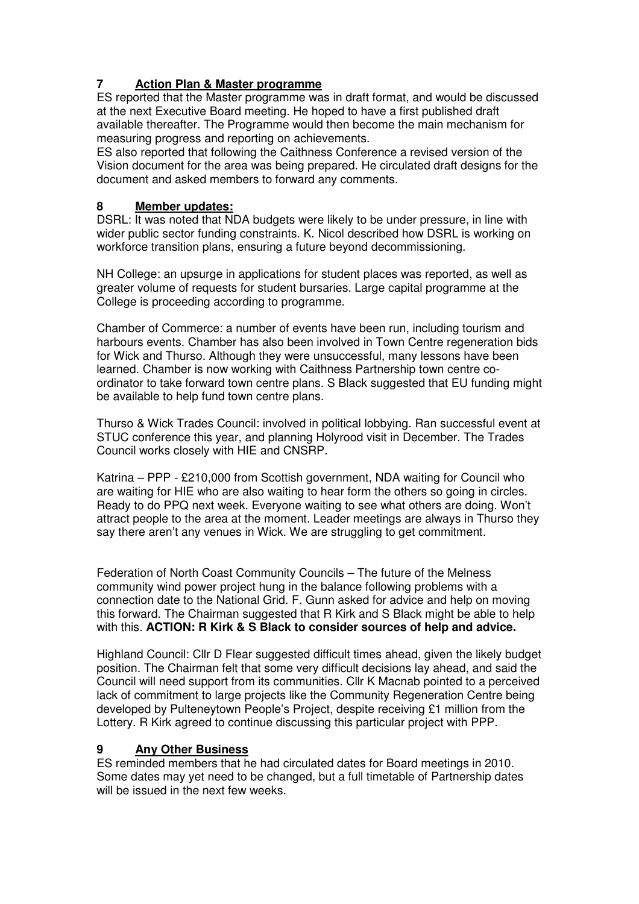## **7 Action Plan & Master programme**

ES reported that the Master programme was in draft format, and would be discussed at the next Executive Board meeting. He hoped to have a first published draft available thereafter. The Programme would then become the main mechanism for measuring progress and reporting on achievements.

ES also reported that following the Caithness Conference a revised version of the Vision document for the area was being prepared. He circulated draft designs for the document and asked members to forward any comments.

### **8 Member updates:**

DSRL: It was noted that NDA budgets were likely to be under pressure, in line with wider public sector funding constraints. K. Nicol described how DSRL is working on workforce transition plans, ensuring a future beyond decommissioning.

NH College: an upsurge in applications for student places was reported, as well as greater volume of requests for student bursaries. Large capital programme at the College is proceeding according to programme.

Chamber of Commerce: a number of events have been run, including tourism and harbours events. Chamber has also been involved in Town Centre regeneration bids for Wick and Thurso. Although they were unsuccessful, many lessons have been learned. Chamber is now working with Caithness Partnership town centre coordinator to take forward town centre plans. S Black suggested that EU funding might be available to help fund town centre plans.

Thurso & Wick Trades Council: involved in political lobbying. Ran successful event at STUC conference this year, and planning Holyrood visit in December. The Trades Council works closely with HIE and CNSRP.

Katrina – PPP - £210,000 from Scottish government, NDA waiting for Council who are waiting for HIE who are also waiting to hear form the others so going in circles. Ready to do PPQ next week. Everyone waiting to see what others are doing. Won't attract people to the area at the moment. Leader meetings are always in Thurso they say there aren't any venues in Wick. We are struggling to get commitment.

Federation of North Coast Community Councils – The future of the Melness community wind power project hung in the balance following problems with a connection date to the National Grid. F. Gunn asked for advice and help on moving this forward. The Chairman suggested that R Kirk and S Black might be able to help with this. **ACTION: R Kirk & S Black to consider sources of help and advice.** 

Highland Council: Cllr D Flear suggested difficult times ahead, given the likely budget position. The Chairman felt that some very difficult decisions lay ahead, and said the Council will need support from its communities. Cllr K Macnab pointed to a perceived lack of commitment to large projects like the Community Regeneration Centre being developed by Pulteneytown People's Project, despite receiving £1 million from the Lottery. R Kirk agreed to continue discussing this particular project with PPP.

#### **9 Any Other Business**

ES reminded members that he had circulated dates for Board meetings in 2010. Some dates may yet need to be changed, but a full timetable of Partnership dates will be issued in the next few weeks.